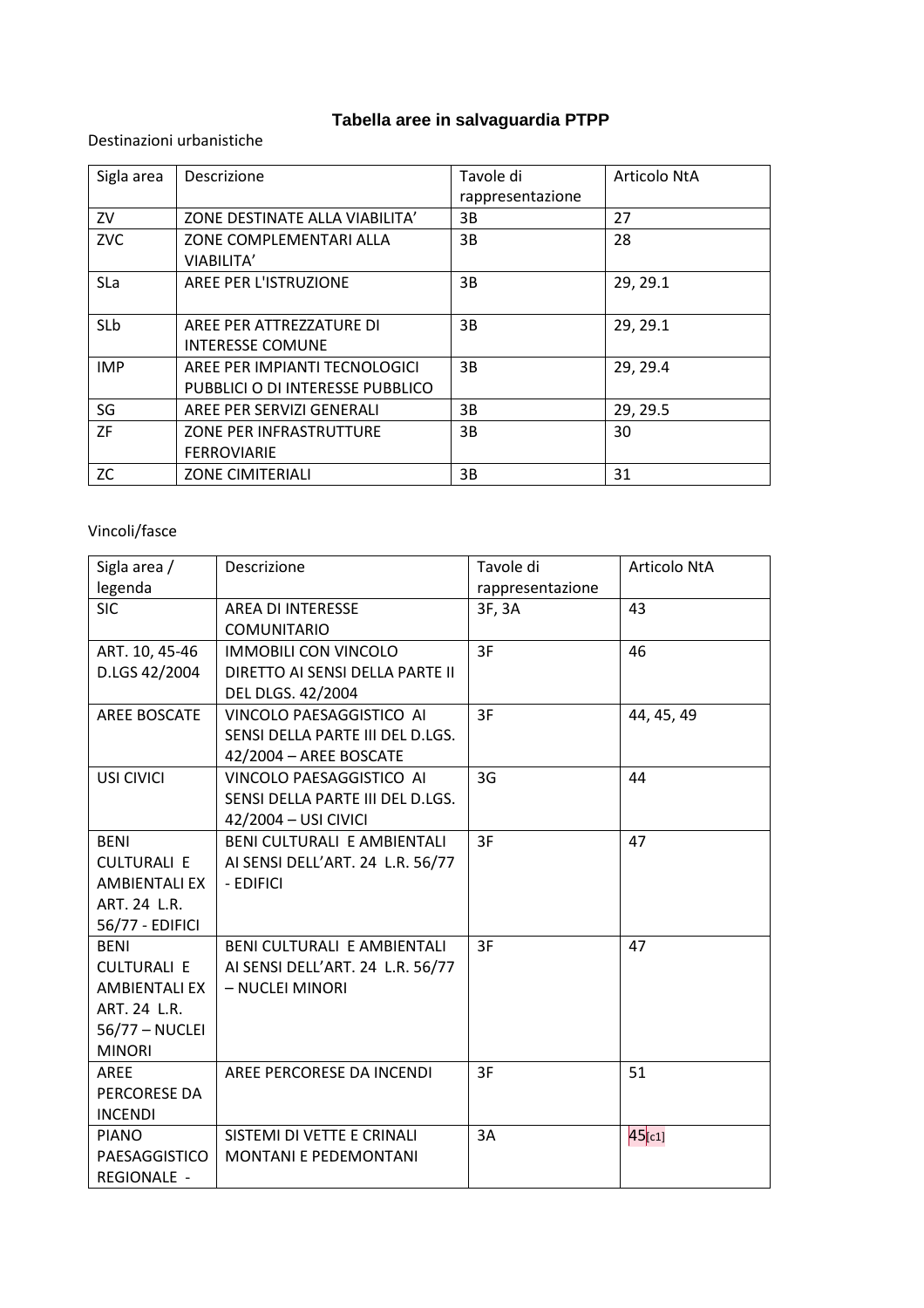## **Tabella aree in salvaguardia PTPP**

Destinazioni urbanistiche

| Sigla area | <b>Descrizione</b>                                                | Tavole di<br>rappresentazione | Articolo NtA |
|------------|-------------------------------------------------------------------|-------------------------------|--------------|
| ZV         | ZONE DESTINATE ALLA VIABILITA'                                    | 3B                            | 27           |
| <b>ZVC</b> | ZONE COMPLEMENTARI ALLA<br>VIABILITA'                             | 3B                            | 28           |
| SLa        | AREE PER L'ISTRUZIONE                                             | 3B                            | 29, 29.1     |
| SLb        | AREE PER ATTREZZATURE DI<br><b>INTERESSE COMUNE</b>               | 3B.                           | 29, 29.1     |
| <b>IMP</b> | AREE PER IMPIANTI TECNOLOGICI<br>PUBBLICI O DI INTERESSE PUBBLICO | 3B                            | 29, 29.4     |
| SG         | AREE PER SERVIZI GENERALI                                         | 3B                            | 29, 29.5     |
| <b>ZF</b>  | ZONE PER INFRASTRUTTURE<br><b>FERROVIARIE</b>                     | 3B                            | 30           |
| ZC         | <b>ZONE CIMITERIALI</b>                                           | 3B.                           | 31           |

## Vincoli/fasce

| Sigla area /         | Descrizione                        | Tavole di        | Articolo NtA |
|----------------------|------------------------------------|------------------|--------------|
| legenda              |                                    | rappresentazione |              |
| <b>SIC</b>           | <b>AREA DI INTERESSE</b>           | 3F, 3A           | 43           |
|                      | <b>COMUNITARIO</b>                 |                  |              |
| ART. 10, 45-46       | <b>IMMOBILI CON VINCOLO</b>        | 3F               | 46           |
| D.LGS 42/2004        | DIRETTO AI SENSI DELLA PARTE II    |                  |              |
|                      | <b>DEL DLGS. 42/2004</b>           |                  |              |
| AREE BOSCATE         | VINCOLO PAESAGGISTICO AI           | 3F               | 44, 45, 49   |
|                      | SENSI DELLA PARTE III DEL D.LGS.   |                  |              |
|                      | 42/2004 - AREE BOSCATE             |                  |              |
| USI CIVICI           | VINCOLO PAESAGGISTICO AI           | 3G               | 44           |
|                      | SENSI DELLA PARTE III DEL D.LGS.   |                  |              |
|                      | 42/2004 - USI CIVICI               |                  |              |
| <b>BENI</b>          | BENI CULTURALI E AMBIENTALI        | 3F               | 47           |
| <b>CULTURALI E</b>   | AI SENSI DELL'ART. 24 L.R. 56/77   |                  |              |
| <b>AMBIENTALI EX</b> | - EDIFICI                          |                  |              |
| ART. 24 L.R.         |                                    |                  |              |
| 56/77 - EDIFICI      |                                    |                  |              |
| <b>BENI</b>          | <b>BENI CULTURALI E AMBIENTALI</b> | 3F               | 47           |
| <b>CULTURALI E</b>   | AI SENSI DELL'ART. 24 L.R. 56/77   |                  |              |
| AMBIENTALI EX        | - NUCLEI MINORI                    |                  |              |
| ART. 24 L.R.         |                                    |                  |              |
| 56/77 - NUCLEI       |                                    |                  |              |
| <b>MINORI</b>        |                                    |                  |              |
| AREE                 | AREE PERCORESE DA INCENDI          | 3F               | 51           |
| PERCORESE DA         |                                    |                  |              |
| <b>INCENDI</b>       |                                    |                  |              |
| <b>PIANO</b>         | SISTEMI DI VETTE E CRINALI         | 3A               | 45[c1]       |
| PAESAGGISTICO        | <b>MONTANI E PEDEMONTANI</b>       |                  |              |
| <b>REGIONALE -</b>   |                                    |                  |              |